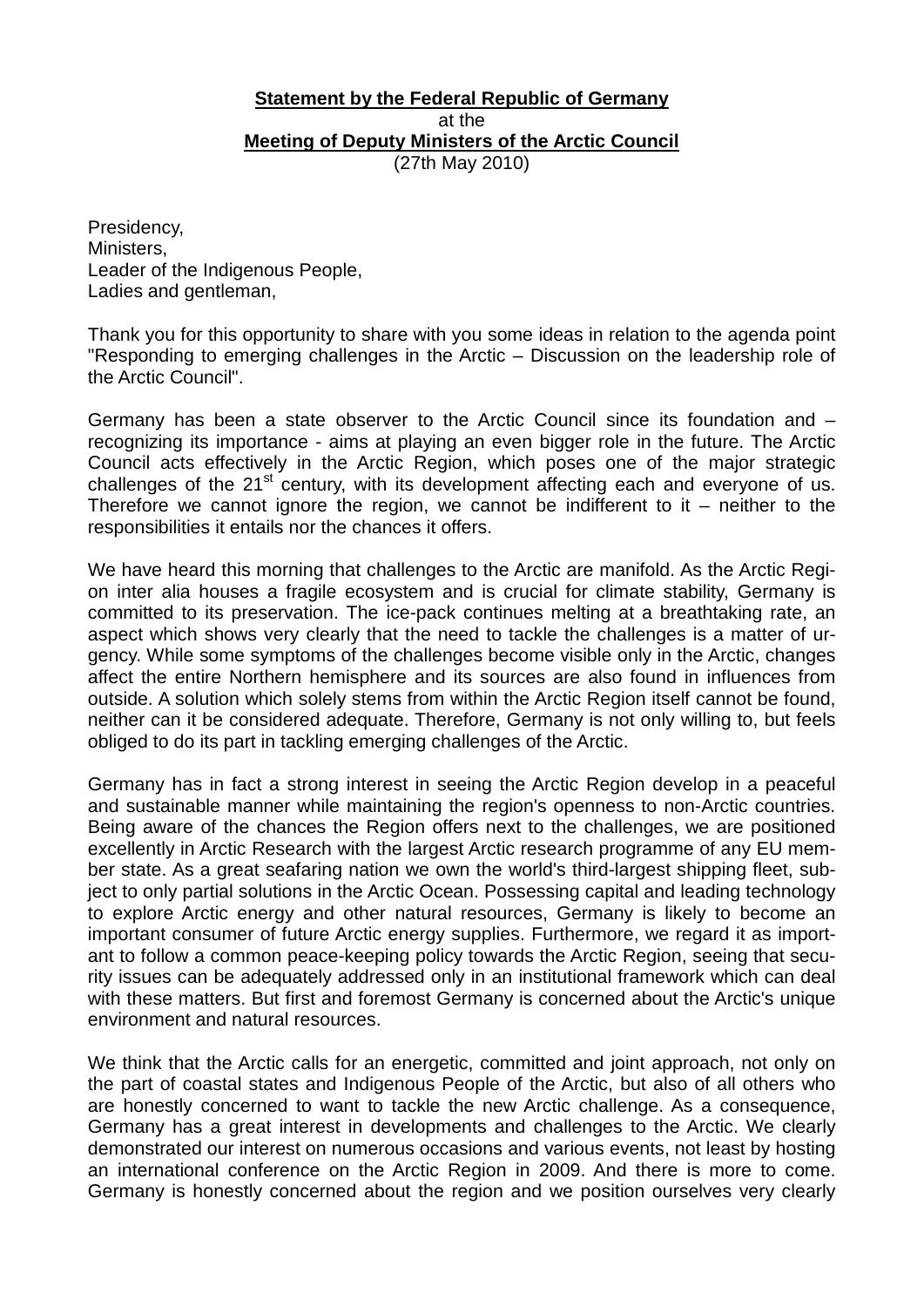## at the **Statement by the Federal Republic of Germany** (27th May 2010) **Meeting of Deputy Ministers of the Arctic Council**

Presidency, Ministers, Leader of the Indigenous People, Ladies and gentleman,

Thank you for this opportunity to share with you some ideas in relation to the agenda point "Responding to emerging challenges in the Arctic – Discussion on the leadership role of the Arctic Council".

Germany has been a state observer to the Arctic Council since its foundation and – recognizing its importance - aims at playing an even bigger role in the future. The Arctic Council acts effectively in the Arctic Region, which poses one of the major strategic challenges of the 21<sup>st</sup> century, with its development affecting each and everyone of us. Therefore we cannot ignore the region, we cannot be indifferent to it – neither to the responsibilities it entails nor the chances it offers.

We have heard this morning that challenges to the Arctic are manifold. As the Arctic Region inter alia houses a fragile ecosystem and is crucial for climate stability, Germany is committed to its preservation. The ice-pack continues melting at a breathtaking rate, an aspect which shows very clearly that the need to tackle the challenges is a matter of urgency. While some symptoms of the challenges become visible only in the Arctic, changes affect the entire Northern hemisphere and its sources are also found in influences from outside. A solution which solely stems from within the Arctic Region itself cannot be found, neither can it be considered adequate. Therefore, Germany is not only willing to, but feels obliged to do its part in tackling emerging challenges of the Arctic.

Germany has in fact a strong interest in seeing the Arctic Region develop in a peaceful and sustainable manner while maintaining the region's openness to non-Arctic countries. Being aware of the chances the Region offers next to the challenges, we are positioned excellently in Arctic Research with the largest Arctic research programme of any EU member state. As a great seafaring nation we own the world's third-largest shipping fleet, subject to only partial solutions in the Arctic Ocean. Possessing capital and leading technology to explore Arctic energy and other natural resources, Germany is likely to become an important consumer of future Arctic energy supplies. Furthermore, we regard it as important to follow a common peace-keeping policy towards the Arctic Region, seeing that security issues can be adequately addressed only in an institutional framework which can deal with these matters. But first and foremost Germany is concerned about the Arctic's unique environment and natural resources.

We think that the Arctic calls for an energetic, committed and joint approach, not only on the part of coastal states and Indigenous People of the Arctic, but also of all others who are honestly concerned to want to tackle the new Arctic challenge. As a consequence, Germany has a great interest in developments and challenges to the Arctic. We clearly demonstrated our interest on numerous occasions and various events, not least by hosting an international conference on the Arctic Region in 2009. And there is more to come. Germany is honestly concerned about the region and we position ourselves very clearly